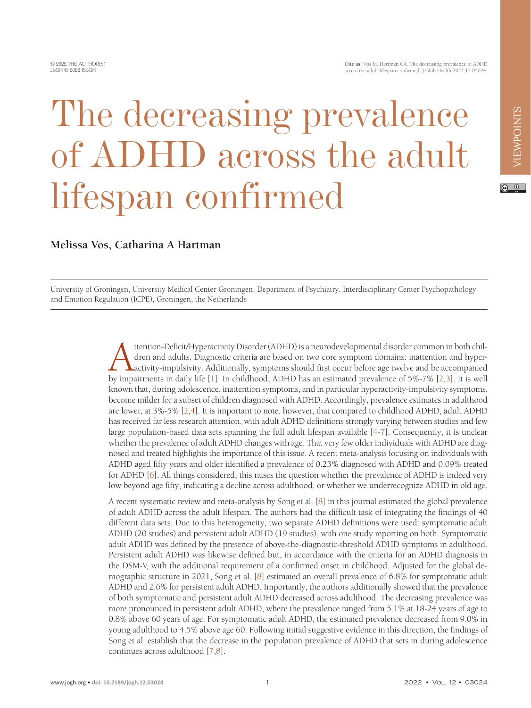$\circ$   $\circ$ 

## The decreasing prevalence of ADHD across the adult lifespan confirmed

## **Melissa Vos, Catharina A Hartman**

University of Groningen, University Medical Center Groningen, Department of Psychiatry, Interdisciplinary Center Psychopathology and Emotion Regulation (ICPE), Groningen, the Netherlands

> Attention-Deficit/Hyperactivity Disorder (ADHD) is a neurodevelopmental disorder common in both children and adults. Diagnostic criteria are based on two core symptom domains: inattention and hyperactivity-impulsivity. Additionally, symptoms should first occur before age twelve and be accompanied by impairments in daily life [\[1](#page-3-0)]. In childhood, ADHD has an estimated prevalence of 5%-7% [[2,](#page-3-1)[3](#page-3-2)]. It is well known that, during adolescence, inattention symptoms, and in particular hyperactivity-impulsivity symptoms, become milder for a subset of children diagnosed with ADHD. Accordingly, prevalence estimates in adulthood are lower, at 3%-5% [\[2](#page-3-1),[4\]](#page-3-3). It is important to note, however, that compared to childhood ADHD, adult ADHD has received far less research attention, with adult ADHD definitions strongly varying between studies and few large population-based data sets spanning the full adult lifespan available [[4-](#page-3-3)[7](#page-3-4)]. Consequently, it is unclear whether the prevalence of adult ADHD changes with age. That very few older individuals with ADHD are diagnosed and treated highlights the importance of this issue. A recent meta-analysis focusing on individuals with ADHD aged fifty years and older identified a prevalence of 0.23% diagnosed with ADHD and 0.09% treated for ADHD [[6\]](#page-3-5). All things considered, this raises the question whether the prevalence of ADHD is indeed very low beyond age fifty, indicating a decline across adulthood, or whether we underrecognize ADHD in old age.

> A recent systematic review and meta-analysis by Song et al. [\[8](#page-3-6)] in this journal estimated the global prevalence of adult ADHD across the adult lifespan. The authors had the difficult task of integrating the findings of 40 different data sets. Due to this heterogeneity, two separate ADHD definitions were used: symptomatic adult ADHD (20 studies) and persistent adult ADHD (19 studies), with one study reporting on both. Symptomatic adult ADHD was defined by the presence of above-the-diagnostic-threshold ADHD symptoms in adulthood. Persistent adult ADHD was likewise defined but, in accordance with the criteria for an ADHD diagnosis in the DSM-V, with the additional requirement of a confirmed onset in childhood. Adjusted for the global demographic structure in 2021, Song et al. [\[8\]](#page-3-6) estimated an overall prevalence of 6.8% for symptomatic adult ADHD and 2.6% for persistent adult ADHD. Importantly, the authors additionally showed that the prevalence of both symptomatic and persistent adult ADHD decreased across adulthood. The decreasing prevalence was more pronounced in persistent adult ADHD, where the prevalence ranged from 5.1% at 18-24 years of age to 0.8% above 60 years of age. For symptomatic adult ADHD, the estimated prevalence decreased from 9.0% in young adulthood to 4.5% above age 60. Following initial suggestive evidence in this direction, the findings of Song et al. establish that the decrease in the population prevalence of ADHD that sets in during adolescence continues across adulthood [[7](#page-3-4)[,8](#page-3-6)].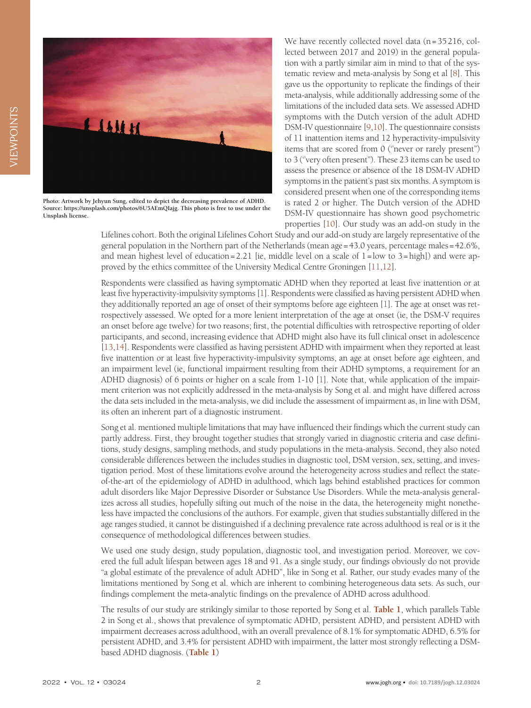

**Photo: Artwork by Jehyun Sung, edited to depict the decreasing prevalence of ADHD. Source: [https://unsplash.com/photos/6U5AEmQIajg.](https://unsplash.com/photos/6U5AEmQIajg) This photo is free to use under the Unsplash license.**

We have recently collected novel data (n=35216, collected between 2017 and 2019) in the general population with a partly similar aim in mind to that of the systematic review and meta-analysis by Song et al [\[8](#page-3-6)]. This gave us the opportunity to replicate the findings of their meta-analysis, while additionally addressing some of the limitations of the included data sets. We assessed ADHD symptoms with the Dutch version of the adult ADHD DSM-IV questionnaire [\[9](#page-3-7),[10\]](#page-3-8). The questionnaire consists of 11 inattention items and 12 hyperactivity-impulsivity items that are scored from 0 ("never or rarely present") to 3 (''very often present"). These 23 items can be used to assess the presence or absence of the 18 DSM-IV ADHD symptoms in the patient's past six months. A symptom is considered present when one of the corresponding items is rated 2 or higher. The Dutch version of the ADHD DSM-IV questionnaire has shown good psychometric properties [[10\]](#page-3-8). Our study was an add-on study in the

Lifelines cohort. Both the original Lifelines Cohort Study and our add-on study are largely representative of the general population in the Northern part of the Netherlands (mean age=43.0 years, percentage males=42.6%, and mean highest level of education=2.21 [ie, middle level on a scale of  $1 =$ low to  $3 =$ high]) and were approved by the ethics committee of the University Medical Centre Groningen [\[11,](#page-3-9)[12](#page-3-10)].

Respondents were classified as having symptomatic ADHD when they reported at least five inattention or at least five hyperactivity-impulsivity symptoms [\[1](#page-3-0)]. Respondents were classified as having persistent ADHD when they additionally reported an age of onset of their symptoms before age eighteen [\[1](#page-3-0)]. The age at onset was retrospectively assessed. We opted for a more lenient interpretation of the age at onset (ie, the DSM-V requires an onset before age twelve) for two reasons; first, the potential difficulties with retrospective reporting of older participants, and second, increasing evidence that ADHD might also have its full clinical onset in adolescence [[13](#page-3-11)[,14](#page-3-12)]. Respondents were classified as having persistent ADHD with impairment when they reported at least five inattention or at least five hyperactivity-impulsivity symptoms, an age at onset before age eighteen, and an impairment level (ie, functional impairment resulting from their ADHD symptoms, a requirement for an ADHD diagnosis) of 6 points or higher on a scale from 1-10 [[1\]](#page-3-0). Note that, while application of the impairment criterion was not explicitly addressed in the meta-analysis by Song et al. and might have differed across the data sets included in the meta-analysis, we did include the assessment of impairment as, in line with DSM, its often an inherent part of a diagnostic instrument.

Song et al. mentioned multiple limitations that may have influenced their findings which the current study can partly address. First, they brought together studies that strongly varied in diagnostic criteria and case definitions, study designs, sampling methods, and study populations in the meta-analysis. Second, they also noted considerable differences between the includes studies in diagnostic tool, DSM version, sex, setting, and investigation period. Most of these limitations evolve around the heterogeneity across studies and reflect the stateof-the-art of the epidemiology of ADHD in adulthood, which lags behind established practices for common adult disorders like Major Depressive Disorder or Substance Use Disorders. While the meta-analysis generalizes across all studies, hopefully sifting out much of the noise in the data, the heterogeneity might nonetheless have impacted the conclusions of the authors. For example, given that studies substantially differed in the age ranges studied, it cannot be distinguished if a declining prevalence rate across adulthood is real or is it the consequence of methodological differences between studies.

We used one study design, study population, diagnostic tool, and investigation period. Moreover, we covered the full adult lifespan between ages 18 and 91. As a single study, our findings obviously do not provide "a global estimate of the prevalence of adult ADHD", like in Song et al. Rather, our study evades many of the limitations mentioned by Song et al. which are inherent to combining heterogeneous data sets. As such, our findings complement the meta-analytic findings on the prevalence of ADHD across adulthood.

The results of our study are strikingly similar to those reported by Song et al. **[Table 1](#page-2-0)**, which parallels Table 2 in Song et al., shows that prevalence of symptomatic ADHD, persistent ADHD, and persistent ADHD with impairment decreases across adulthood, with an overall prevalence of 8.1% for symptomatic ADHD, 6.5% for persistent ADHD, and 3.4% for persistent ADHD with impairment, the latter most strongly reflecting a DSMbased ADHD diagnosis. (**[Table 1](#page-2-0)**)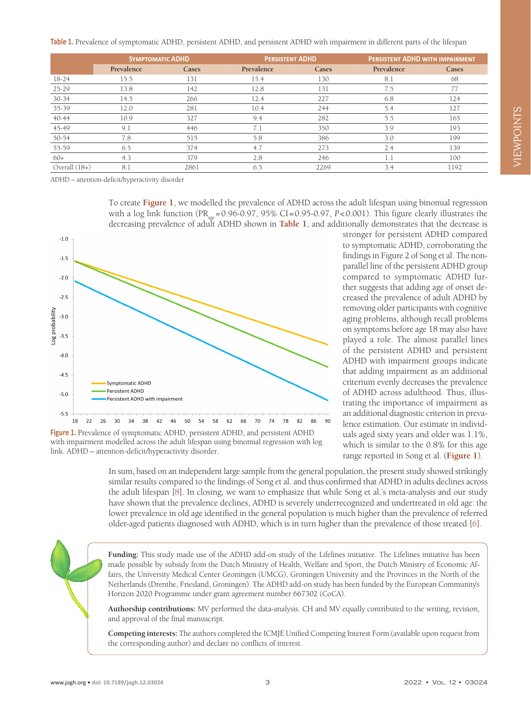<span id="page-2-0"></span>**Table 1.** Prevalence of symptomatic ADHD, persistent ADHD, and persistent ADHD with impairment in different parts of the lifespan

|                 | <b>SYMPTOMATIC ADHD</b> |       | <b>PERSISTENT ADHD</b> |       | <b>PERSISTENT ADHD WITH IMPAIRMENT</b> |       |
|-----------------|-------------------------|-------|------------------------|-------|----------------------------------------|-------|
|                 | Prevalence              | Cases | Prevalence             | Cases | Prevalence                             | Cases |
| $18-24$         | 15.5                    | 131   | 15.4                   | 130   | 8.1                                    | 68    |
| $25 - 29$       | 13.8                    | 142   | 12.8                   | 131   | 7.5                                    |       |
| $30 - 34$       | 14.5                    | 266   | 12.4                   | 227   | 6.8                                    | 124   |
| 35-39           | 12.0                    | 281   | 10.4                   | 244   | 5.4                                    | 127   |
| 40-44           | 10.9                    | 327   | 9.4                    | 282   | 5.5                                    | 165   |
| 45-49           | 9.1                     | 446   | 7.1                    | 350   | 3.9                                    | 193   |
| 50-54           | 7.8                     | 515   | 5.8                    | 386   | 3.0                                    | 199   |
| 55-59           | 6.5                     | 374   | 4.7                    | 273   | 2.4                                    | 139   |
| $60+$           | 4.3                     | 379   | 2.8                    | 246   | 1.1                                    | 100   |
| Overall $(18+)$ | 8.1                     | 2861  | 6.5                    | 2269  | 3.4                                    | 1192  |

ADHD – attention-deficit/hyperactivity disorder

To create **[Figure 1](#page-2-1)**, we modelled the prevalence of ADHD across the adult lifespan using binomial regression with a log link function (PR<sub>ag</sub>=0.96-0.97, 95% CI=0.95-0.97, *P*<0.001). This figure clearly illustrates the decreasing prevalence of adult ADHD shown in **[Table 1](#page-2-0)**, and additionally demonstrates that the decrease is

<span id="page-2-1"></span>

Figure 1. Prevalence of symptomatic ADHD, persistent ADHD, and persistent ADHD with impairment modelled across the adult lifespan using binomial regression with log link. ADHD – attention-deficit/hyperactivity disorder.

stronger for persistent ADHD compared to symptomatic ADHD, corroborating the findings in Figure 2 of Song et al. The nonparallel line of the persistent ADHD group compared to symptomatic ADHD further suggests that adding age of onset decreased the prevalence of adult ADHD by removing older participants with cognitive aging problems, although recall problems on symptoms before age 18 may also have played a role. The almost parallel lines of the persistent ADHD and persistent ADHD with impairment groups indicate that adding impairment as an additional criterium evenly decreases the prevalence of ADHD across adulthood. Thus, illustrating the importance of impairment as an additional diagnostic criterion in prevalence estimation. Our estimate in individuals aged sixty years and older was 1.1%, which is similar to the 0.8% for this age range reported in Song et al. (**[Figure 1](#page-2-1)**).

In sum, based on an independent large sample from the general population, the present study showed strikingly similar results compared to the findings of Song et al. and thus confirmed that ADHD in adults declines across the adult lifespan [\[8](#page-3-6)]. In closing, we want to emphasize that while Song et al.'s meta-analysis and our study have shown that the prevalence declines, ADHD is severely underrecognized and undertreated in old age: the lower prevalence in old age identified in the general population is much higher than the prevalence of referred older-aged patients diagnosed with ADHD, which is in turn higher than the prevalence of those treated [[6\]](#page-3-5).

**Funding:** This study made use of the ADHD add-on study of the Lifelines initiative. The Lifelines initiative has been made possible by subsidy from the Dutch Ministry of Health, Welfare and Sport, the Dutch Ministry of Economic Affairs, the University Medical Center Groningen (UMCG), Groningen University and the Provinces in the North of the Netherlands (Drenthe, Friesland, Groningen). The ADHD add-on study has been funded by the European Community's Horizon 2020 Programme under grant agreement number 667302 (CoCA).

**Authorship contributions:** MV performed the data-analysis. CH and MV equally contributed to the writing, revision, and approval of the final manuscript.

**Competing interests:** The authors completed the ICMJE Unified Competing Interest Form (available upon request from the corresponding author) and declare no conflicts of interest.